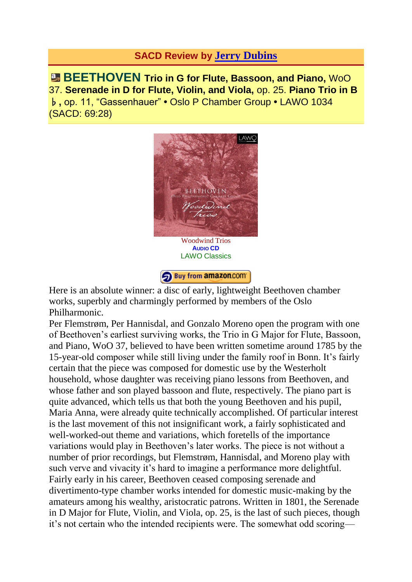## **SACD Review by Jerry [Dubins](http://www.fanfarearchive.com/indices/itop/reviewers/h1_048.html)**

**BEETHOVEN Trio in G for Flute, Bassoon, and Piano,** WoO 37. **Serenade in D for Flute, Violin, and Viola,** op. 25. **Piano Trio in B** ♭**,** op. 11, "Gassenhauer" **•** Oslo P Chamber Group **•** LAWO 1034 (SACD: 69:28)



Buy from amazon.com

[Here is an absolute winner: a disc of early, lightweig](http://www.amazon.com/gp/product/B009LRJ8K6?ie=UTF8&tag=fanfaremaaolc-20&linkCode=as2&camp=1789&creative=9325&creativeASIN=B009LRJ8K6)ht Beethoven chamber works, superbly and charmingly performed by members of the Oslo Philharmonic.

Per Flemstrøm, Per Hannisdal, and Gonzalo Moreno open the program with one of Beethoven's earliest surviving works, the Trio in G Major for Flute, Bassoon, and Piano, WoO 37, believed to have been written sometime around 1785 by the 15-year-old composer while still living under the family roof in Bonn. It's fairly certain that the piece was composed for domestic use by the Westerholt household, whose daughter was receiving piano lessons from Beethoven, and whose father and son played bassoon and flute, respectively. The piano part is quite advanced, which tells us that both the young Beethoven and his pupil, Maria Anna, were already quite technically accomplished. Of particular interest is the last movement of this not insignificant work, a fairly sophisticated and well-worked-out theme and variations, which foretells of the importance variations would play in Beethoven's later works. The piece is not without a number of prior recordings, but Flemstrøm, Hannisdal, and Moreno play with such verve and vivacity it's hard to imagine a performance more delightful. Fairly early in his career, Beethoven ceased composing serenade and divertimento-type chamber works intended for domestic music-making by the amateurs among his wealthy, aristocratic patrons. Written in 1801, the Serenade in D Major for Flute, Violin, and Viola, op. 25, is the last of such pieces, though it's not certain who the intended recipients were. The somewhat odd scoring